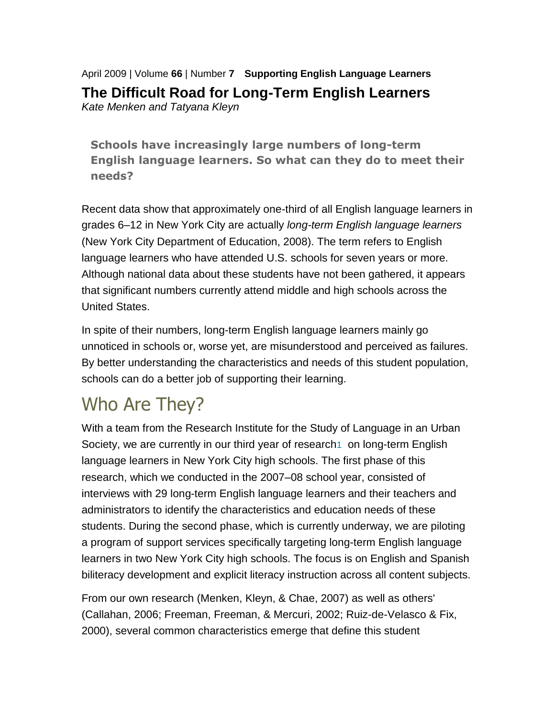April 2009 | Volume **66** | Number **7 Supporting English Language Learners The Difficult Road for Long-Term English Learners** *Kate Menken and Tatyana Kleyn*

**Schools have increasingly large numbers of long-term English language learners. So what can they do to meet their needs?**

Recent data show that approximately one-third of all English language learners in grades 6–12 in New York City are actually *long-term English language learners* (New York City Department of Education, 2008). The term refers to English language learners who have attended U.S. schools for seven years or more. Although national data about these students have not been gathered, it appears that significant numbers currently attend middle and high schools across the United States.

In spite of their numbers, long-term English language learners mainly go unnoticed in schools or, worse yet, are misunderstood and perceived as failures. By better understanding the characteristics and needs of this student population, schools can do a better job of supporting their learning.

# Who Are They?

With a team from the Research Institute for the Study of Language in an Urban Society, we are currently in our third year of research<sub>[1](http://www.ascd.org/publications/educational_leadership/apr09/vol66/num07/The_Difficult_Road_for_Long-Term_English_Learners.aspx#fn1)</sub> on long-term English language learners in New York City high schools. The first phase of this research, which we conducted in the 2007–08 school year, consisted of interviews with 29 long-term English language learners and their teachers and administrators to identify the characteristics and education needs of these students. During the second phase, which is currently underway, we are piloting a program of support services specifically targeting long-term English language learners in two New York City high schools. The focus is on English and Spanish biliteracy development and explicit literacy instruction across all content subjects.

From our own research (Menken, Kleyn, & Chae, 2007) as well as others' (Callahan, 2006; Freeman, Freeman, & Mercuri, 2002; Ruiz-de-Velasco & Fix, 2000), several common characteristics emerge that define this student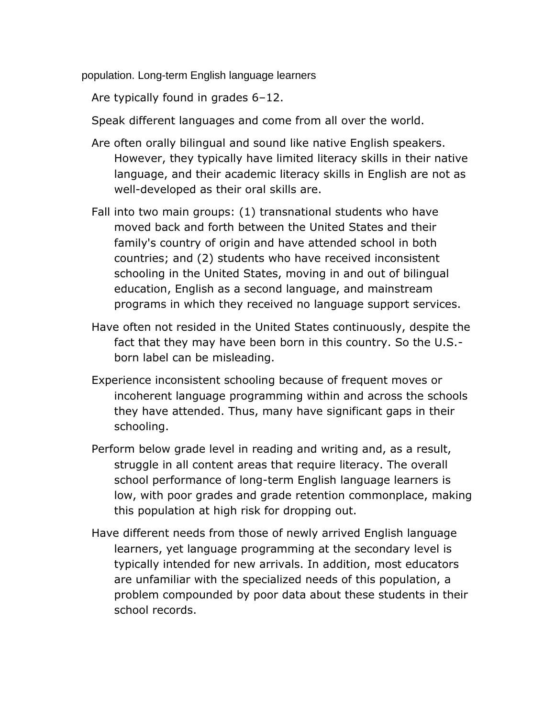population. Long-term English language learners

Are typically found in grades 6–12.

Speak different languages and come from all over the world.

- Are often orally bilingual and sound like native English speakers. However, they typically have limited literacy skills in their native language, and their academic literacy skills in English are not as well-developed as their oral skills are.
- Fall into two main groups: (1) transnational students who have moved back and forth between the United States and their family's country of origin and have attended school in both countries; and (2) students who have received inconsistent schooling in the United States, moving in and out of bilingual education, English as a second language, and mainstream programs in which they received no language support services.
- Have often not resided in the United States continuously, despite the fact that they may have been born in this country. So the U.S. born label can be misleading.
- Experience inconsistent schooling because of frequent moves or incoherent language programming within and across the schools they have attended. Thus, many have significant gaps in their schooling.
- Perform below grade level in reading and writing and, as a result, struggle in all content areas that require literacy. The overall school performance of long-term English language learners is low, with poor grades and grade retention commonplace, making this population at high risk for dropping out.
- Have different needs from those of newly arrived English language learners, yet language programming at the secondary level is typically intended for new arrivals. In addition, most educators are unfamiliar with the specialized needs of this population, a problem compounded by poor data about these students in their school records.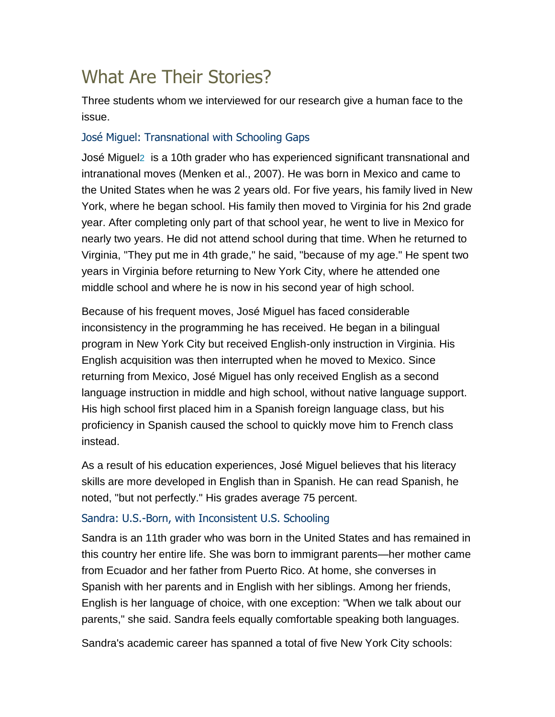# What Are Their Stories?

Three students whom we interviewed for our research give a human face to the issue.

## José Miguel: Transnational with Schooling Gaps

José Miguel[2](http://www.ascd.org/publications/educational_leadership/apr09/vol66/num07/The_Difficult_Road_for_Long-Term_English_Learners.aspx#fn2) is a 10th grader who has experienced significant transnational and intranational moves (Menken et al., 2007). He was born in Mexico and came to the United States when he was 2 years old. For five years, his family lived in New York, where he began school. His family then moved to Virginia for his 2nd grade year. After completing only part of that school year, he went to live in Mexico for nearly two years. He did not attend school during that time. When he returned to Virginia, "They put me in 4th grade," he said, "because of my age." He spent two years in Virginia before returning to New York City, where he attended one middle school and where he is now in his second year of high school.

Because of his frequent moves, José Miguel has faced considerable inconsistency in the programming he has received. He began in a bilingual program in New York City but received English-only instruction in Virginia. His English acquisition was then interrupted when he moved to Mexico. Since returning from Mexico, José Miguel has only received English as a second language instruction in middle and high school, without native language support. His high school first placed him in a Spanish foreign language class, but his proficiency in Spanish caused the school to quickly move him to French class instead.

As a result of his education experiences, José Miguel believes that his literacy skills are more developed in English than in Spanish. He can read Spanish, he noted, "but not perfectly." His grades average 75 percent.

### Sandra: U.S.-Born, with Inconsistent U.S. Schooling

Sandra is an 11th grader who was born in the United States and has remained in this country her entire life. She was born to immigrant parents—her mother came from Ecuador and her father from Puerto Rico. At home, she converses in Spanish with her parents and in English with her siblings. Among her friends, English is her language of choice, with one exception: "When we talk about our parents," she said. Sandra feels equally comfortable speaking both languages.

Sandra's academic career has spanned a total of five New York City schools: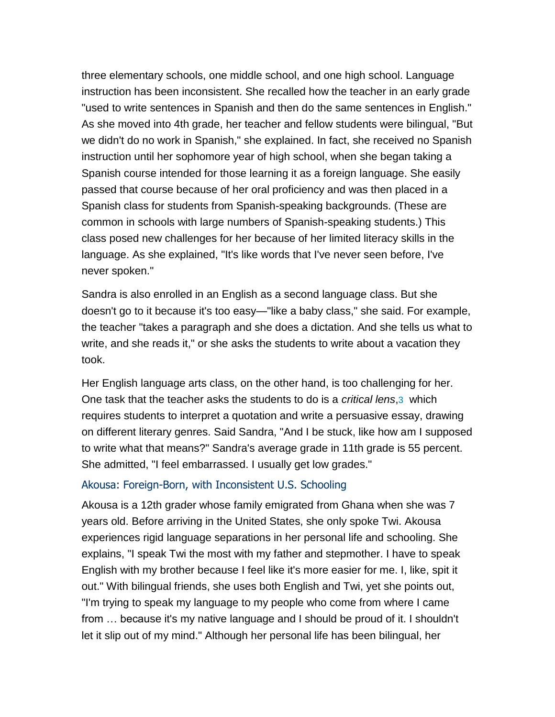three elementary schools, one middle school, and one high school. Language instruction has been inconsistent. She recalled how the teacher in an early grade "used to write sentences in Spanish and then do the same sentences in English." As she moved into 4th grade, her teacher and fellow students were bilingual, "But we didn't do no work in Spanish," she explained. In fact, she received no Spanish instruction until her sophomore year of high school, when she began taking a Spanish course intended for those learning it as a foreign language. She easily passed that course because of her oral proficiency and was then placed in a Spanish class for students from Spanish-speaking backgrounds. (These are common in schools with large numbers of Spanish-speaking students.) This class posed new challenges for her because of her limited literacy skills in the language. As she explained, "It's like words that I've never seen before, I've never spoken."

Sandra is also enrolled in an English as a second language class. But she doesn't go to it because it's too easy—"like a baby class," she said. For example, the teacher "takes a paragraph and she does a dictation. And she tells us what to write, and she reads it," or she asks the students to write about a vacation they took.

Her English language arts class, on the other hand, is too challenging for her. One task that the teacher asks the students to do is a *critical lens*,[3](http://www.ascd.org/publications/educational_leadership/apr09/vol66/num07/The_Difficult_Road_for_Long-Term_English_Learners.aspx#fn3) which requires students to interpret a quotation and write a persuasive essay, drawing on different literary genres. Said Sandra, "And I be stuck, like how am I supposed to write what that means?" Sandra's average grade in 11th grade is 55 percent. She admitted, "I feel embarrassed. I usually get low grades."

#### Akousa: Foreign-Born, with Inconsistent U.S. Schooling

Akousa is a 12th grader whose family emigrated from Ghana when she was 7 years old. Before arriving in the United States, she only spoke Twi. Akousa experiences rigid language separations in her personal life and schooling. She explains, "I speak Twi the most with my father and stepmother. I have to speak English with my brother because I feel like it's more easier for me. I, like, spit it out." With bilingual friends, she uses both English and Twi, yet she points out, "I'm trying to speak my language to my people who come from where I came from … because it's my native language and I should be proud of it. I shouldn't let it slip out of my mind." Although her personal life has been bilingual, her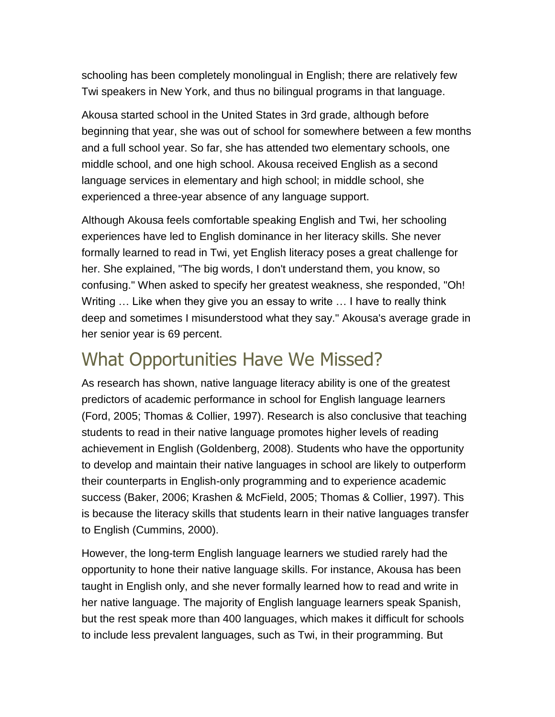schooling has been completely monolingual in English; there are relatively few Twi speakers in New York, and thus no bilingual programs in that language.

Akousa started school in the United States in 3rd grade, although before beginning that year, she was out of school for somewhere between a few months and a full school year. So far, she has attended two elementary schools, one middle school, and one high school. Akousa received English as a second language services in elementary and high school; in middle school, she experienced a three-year absence of any language support.

Although Akousa feels comfortable speaking English and Twi, her schooling experiences have led to English dominance in her literacy skills. She never formally learned to read in Twi, yet English literacy poses a great challenge for her. She explained, "The big words, I don't understand them, you know, so confusing." When asked to specify her greatest weakness, she responded, "Oh! Writing … Like when they give you an essay to write … I have to really think deep and sometimes I misunderstood what they say." Akousa's average grade in her senior year is 69 percent.

## What Opportunities Have We Missed?

As research has shown, native language literacy ability is one of the greatest predictors of academic performance in school for English language learners (Ford, 2005; Thomas & Collier, 1997). Research is also conclusive that teaching students to read in their native language promotes higher levels of reading achievement in English (Goldenberg, 2008). Students who have the opportunity to develop and maintain their native languages in school are likely to outperform their counterparts in English-only programming and to experience academic success (Baker, 2006; Krashen & McField, 2005; Thomas & Collier, 1997). This is because the literacy skills that students learn in their native languages transfer to English (Cummins, 2000).

However, the long-term English language learners we studied rarely had the opportunity to hone their native language skills. For instance, Akousa has been taught in English only, and she never formally learned how to read and write in her native language. The majority of English language learners speak Spanish, but the rest speak more than 400 languages, which makes it difficult for schools to include less prevalent languages, such as Twi, in their programming. But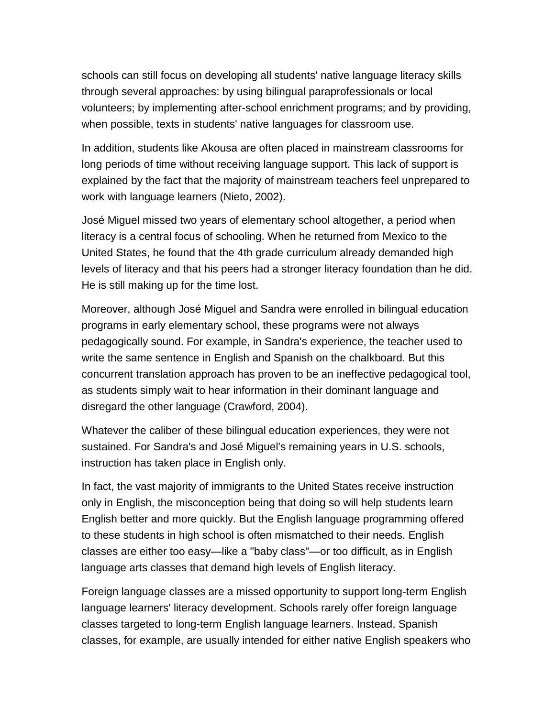schools can still focus on developing all students' native language literacy skills through several approaches: by using bilingual paraprofessionals or local volunteers; by implementing after-school enrichment programs; and by providing, when possible, texts in students' native languages for classroom use.

In addition, students like Akousa are often placed in mainstream classrooms for long periods of time without receiving language support. This lack of support is explained by the fact that the majority of mainstream teachers feel unprepared to work with language learners (Nieto, 2002).

José Miguel missed two years of elementary school altogether, a period when literacy is a central focus of schooling. When he returned from Mexico to the United States, he found that the 4th grade curriculum already demanded high levels of literacy and that his peers had a stronger literacy foundation than he did. He is still making up for the time lost.

Moreover, although José Miguel and Sandra were enrolled in bilingual education programs in early elementary school, these programs were not always pedagogically sound. For example, in Sandra's experience, the teacher used to write the same sentence in English and Spanish on the chalkboard. But this concurrent translation approach has proven to be an ineffective pedagogical tool, as students simply wait to hear information in their dominant language and disregard the other language (Crawford, 2004).

Whatever the caliber of these bilingual education experiences, they were not sustained. For Sandra's and José Miguel's remaining years in U.S. schools, instruction has taken place in English only.

In fact, the vast majority of immigrants to the United States receive instruction only in English, the misconception being that doing so will help students learn English better and more quickly. But the English language programming offered to these students in high school is often mismatched to their needs. English classes are either too easy—like a "baby class"—or too difficult, as in English language arts classes that demand high levels of English literacy.

Foreign language classes are a missed opportunity to support long-term English language learners' literacy development. Schools rarely offer foreign language classes targeted to long-term English language learners. Instead, Spanish classes, for example, are usually intended for either native English speakers who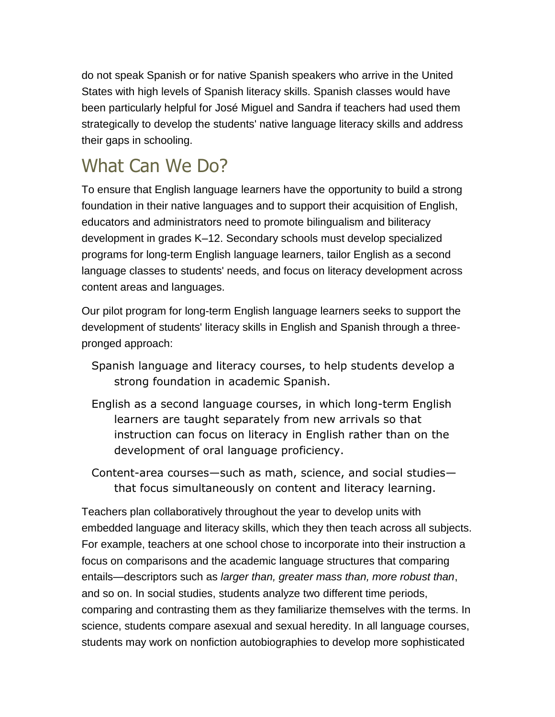do not speak Spanish or for native Spanish speakers who arrive in the United States with high levels of Spanish literacy skills. Spanish classes would have been particularly helpful for José Miguel and Sandra if teachers had used them strategically to develop the students' native language literacy skills and address their gaps in schooling.

# What Can We Do?

To ensure that English language learners have the opportunity to build a strong foundation in their native languages and to support their acquisition of English, educators and administrators need to promote bilingualism and biliteracy development in grades K–12. Secondary schools must develop specialized programs for long-term English language learners, tailor English as a second language classes to students' needs, and focus on literacy development across content areas and languages.

Our pilot program for long-term English language learners seeks to support the development of students' literacy skills in English and Spanish through a threepronged approach:

- Spanish language and literacy courses, to help students develop a strong foundation in academic Spanish.
- English as a second language courses, in which long-term English learners are taught separately from new arrivals so that instruction can focus on literacy in English rather than on the development of oral language proficiency.
- Content-area courses—such as math, science, and social studies that focus simultaneously on content and literacy learning.

Teachers plan collaboratively throughout the year to develop units with embedded language and literacy skills, which they then teach across all subjects. For example, teachers at one school chose to incorporate into their instruction a focus on comparisons and the academic language structures that comparing entails—descriptors such as *larger than, greater mass than, more robust than*, and so on. In social studies, students analyze two different time periods, comparing and contrasting them as they familiarize themselves with the terms. In science, students compare asexual and sexual heredity. In all language courses, students may work on nonfiction autobiographies to develop more sophisticated